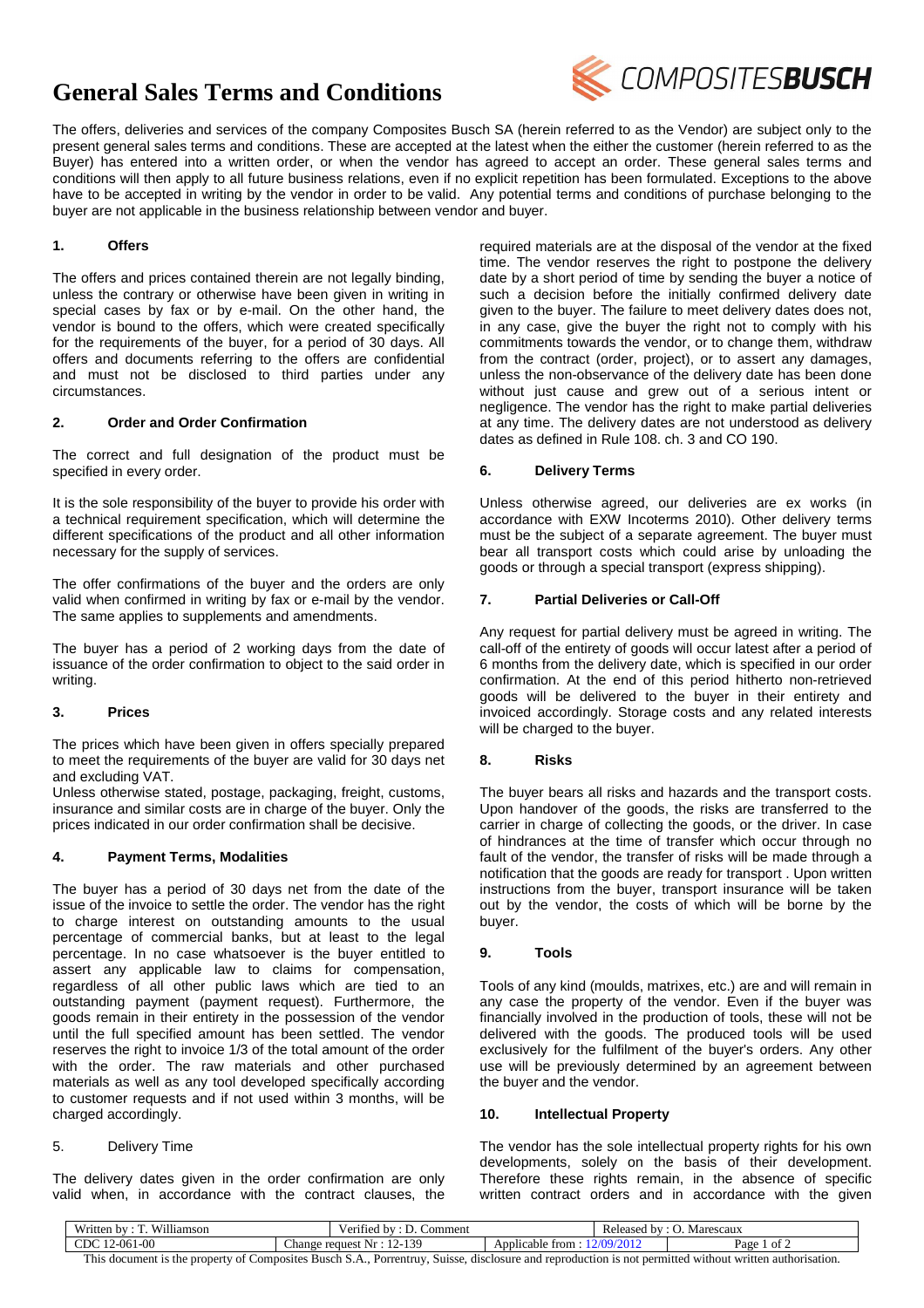# **General Sales Terms and Conditions**



The offers, deliveries and services of the company Composites Busch SA (herein referred to as the Vendor) are subject only to the present general sales terms and conditions. These are accepted at the latest when the either the customer (herein referred to as the Buyer) has entered into a written order, or when the vendor has agreed to accept an order. These general sales terms and conditions will then apply to all future business relations, even if no explicit repetition has been formulated. Exceptions to the above have to be accepted in writing by the vendor in order to be valid. Any potential terms and conditions of purchase belonging to the buyer are not applicable in the business relationship between vendor and buyer.

## **1. Offers**

The offers and prices contained therein are not legally binding, unless the contrary or otherwise have been given in writing in special cases by fax or by e-mail. On the other hand, the vendor is bound to the offers, which were created specifically for the requirements of the buyer, for a period of 30 days. All offers and documents referring to the offers are confidential and must not be disclosed to third parties under any circumstances.

## **2. Order and Order Confirmation**

The correct and full designation of the product must be specified in every order.

It is the sole responsibility of the buyer to provide his order with a technical requirement specification, which will determine the different specifications of the product and all other information necessary for the supply of services.

The offer confirmations of the buyer and the orders are only valid when confirmed in writing by fax or e-mail by the vendor. The same applies to supplements and amendments.

The buyer has a period of 2 working days from the date of issuance of the order confirmation to object to the said order in writing.

### **3. Prices**

The prices which have been given in offers specially prepared to meet the requirements of the buyer are valid for 30 days net and excluding VAT.

Unless otherwise stated, postage, packaging, freight, customs, insurance and similar costs are in charge of the buyer. Only the prices indicated in our order confirmation shall be decisive.

### **4. Payment Terms, Modalities**

The buyer has a period of 30 days net from the date of the issue of the invoice to settle the order. The vendor has the right to charge interest on outstanding amounts to the usual percentage of commercial banks, but at least to the legal percentage. In no case whatsoever is the buyer entitled to assert any applicable law to claims for compensation, regardless of all other public laws which are tied to an outstanding payment (payment request). Furthermore, the goods remain in their entirety in the possession of the vendor until the full specified amount has been settled. The vendor reserves the right to invoice 1/3 of the total amount of the order with the order. The raw materials and other purchased materials as well as any tool developed specifically according to customer requests and if not used within 3 months, will be charged accordingly.

### 5. Delivery Time

The delivery dates given in the order confirmation are only valid when, in accordance with the contract clauses, the required materials are at the disposal of the vendor at the fixed time. The vendor reserves the right to postpone the delivery date by a short period of time by sending the buyer a notice of such a decision before the initially confirmed delivery date given to the buyer. The failure to meet delivery dates does not, in any case, give the buyer the right not to comply with his commitments towards the vendor, or to change them, withdraw from the contract (order, project), or to assert any damages, unless the non-observance of the delivery date has been done without just cause and grew out of a serious intent or negligence. The vendor has the right to make partial deliveries at any time. The delivery dates are not understood as delivery dates as defined in Rule 108. ch. 3 and CO 190.

## **6. Delivery Terms**

Unless otherwise agreed, our deliveries are ex works (in accordance with EXW Incoterms 2010). Other delivery terms must be the subject of a separate agreement. The buyer must bear all transport costs which could arise by unloading the goods or through a special transport (express shipping).

### **7. Partial Deliveries or Call-Off**

Any request for partial delivery must be agreed in writing. The call-off of the entirety of goods will occur latest after a period of 6 months from the delivery date, which is specified in our order confirmation. At the end of this period hitherto non-retrieved goods will be delivered to the buyer in their entirety and invoiced accordingly. Storage costs and any related interests will be charged to the buyer.

### **8. Risks**

The buyer bears all risks and hazards and the transport costs. Upon handover of the goods, the risks are transferred to the carrier in charge of collecting the goods, or the driver. In case of hindrances at the time of transfer which occur through no fault of the vendor, the transfer of risks will be made through a notification that the goods are ready for transport . Upon written instructions from the buyer, transport insurance will be taken out by the vendor, the costs of which will be borne by the buyer.

### **9. Tools**

Tools of any kind (moulds, matrixes, etc.) are and will remain in any case the property of the vendor. Even if the buyer was financially involved in the production of tools, these will not be delivered with the goods. The produced tools will be used exclusively for the fulfilment of the buyer's orders. Any other use will be previously determined by an agreement between the buyer and the vendor.

### **10. Intellectual Property**

The vendor has the sole intellectual property rights for his own developments, solely on the basis of their development. Therefore these rights remain, in the absence of specific written contract orders and in accordance with the given

| 130                                                                                        | ∠omment              |
|--------------------------------------------------------------------------------------------|----------------------|
| -                                                                                          | Released             |
| $\sim$ $\sim$ $\sim$                                                                       | Marescaux            |
| $\sim$                                                                                     | hv                   |
| $_{\mathrm{CDC}}$<br>061-00<br>2-06<br>Change<br>request<br>Nr<br>$\overline{1}$<br>$\sim$ | Page<br>trom<br>Ant. |

This document is the property of Composites Busch S.A., Porrentruy, Suisse, disclosure and reproduction is not permitted without written authorisation.